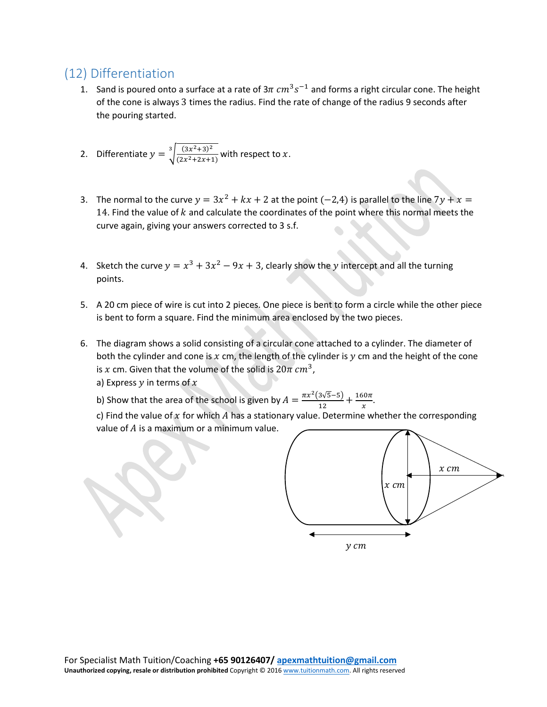## (12) Differentiation

- 1. Sand is poured onto a surface at a rate of  $3\pi$   $cm^3 s^{-1}$  and forms a right circular cone. The height of the cone is always 3 times the radius. Find the rate of change of the radius 9 seconds after the pouring started.
- 2. Differentiate  $y = \sqrt[3]{\frac{(3x^2+3)^2}{(2x^2+2x+1)}}$  $\int_{0}^{3} \frac{(3x^2+3)^2}{(2x^2+2x+1)}$  with respect to x.
- 3. The normal to the curve  $y = 3x^2 + kx + 2$  at the point (-2,4) is parallel to the line  $7y + x =$ 14. Find the value of  $k$  and calculate the coordinates of the point where this normal meets the curve again, giving your answers corrected to 3 s.f.
- 4. Sketch the curve  $y = x^3 + 3x^2 9x + 3$ , clearly show the y intercept and all the turning points.
- 5. A 20 cm piece of wire is cut into 2 pieces. One piece is bent to form a circle while the other piece is bent to form a square. Find the minimum area enclosed by the two pieces.
- 6. The diagram shows a solid consisting of a circular cone attached to a cylinder. The diameter of both the cylinder and cone is  $x$  cm, the length of the cylinder is  $y$  cm and the height of the cone is x cm. Given that the volume of the solid is  $20\pi$  cm<sup>3</sup>,
	- a) Express  $y$  in terms of  $x$
	- b) Show that the area of the school is given by  $A = \frac{\pi x^2 (3\sqrt{5}-5)}{12} + \frac{160\pi}{x}$ .

c) Find the value of  $x$  for which  $A$  has a stationary value. Determine whether the corresponding value of  $A$  is a maximum or a minimum value.